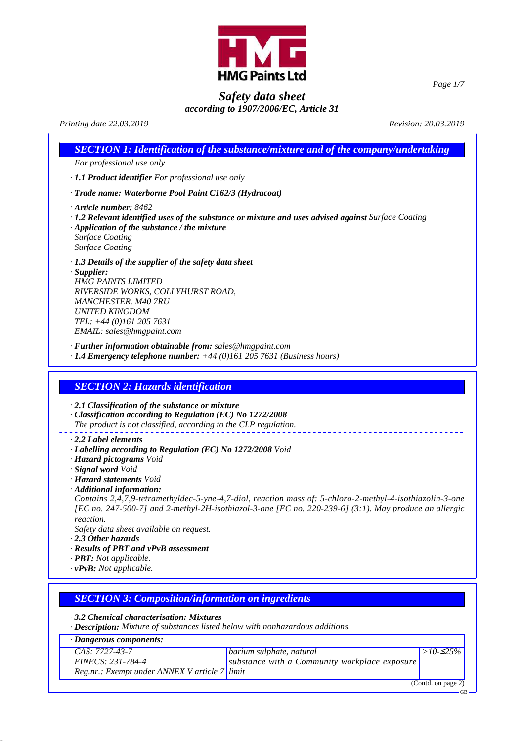

*Page 1/7*

# *Safety data sheet according to 1907/2006/EC, Article 31*

# *Printing date 22.03.2019 Revision: 20.03.2019*

|                                                                                                                                                                                                                                                                     | <b>SECTION 1: Identification of the substance/mixture and of the company/undertaking</b>                                                                                                                          |
|---------------------------------------------------------------------------------------------------------------------------------------------------------------------------------------------------------------------------------------------------------------------|-------------------------------------------------------------------------------------------------------------------------------------------------------------------------------------------------------------------|
| For professional use only                                                                                                                                                                                                                                           |                                                                                                                                                                                                                   |
| · 1.1 Product identifier For professional use only                                                                                                                                                                                                                  |                                                                                                                                                                                                                   |
|                                                                                                                                                                                                                                                                     | · Trade name: Waterborne Pool Paint C162/3 (Hydracoat)                                                                                                                                                            |
| $\cdot$ Article number: 8462<br>$\cdot$ Application of the substance / the mixture<br><b>Surface Coating</b><br><b>Surface Coating</b>                                                                                                                              | $\cdot$ 1.2 Relevant identified uses of the substance or mixture and uses advised against Surface Coating                                                                                                         |
| $\cdot$ 1.3 Details of the supplier of the safety data sheet<br>$\cdot$ Supplier:<br><b>HMG PAINTS LIMITED</b><br>RIVERSIDE WORKS, COLLYHURST ROAD,<br><b>MANCHESTER. M40 7RU</b><br><b>UNITED KINGDOM</b><br>TEL: +44 (0)161 205 7631<br>EMAIL: sales@hmgpaint.com |                                                                                                                                                                                                                   |
|                                                                                                                                                                                                                                                                     | · Further information obtainable from: sales@hmgpaint.com<br>$\cdot$ 1.4 Emergency telephone number: $+44$ (0)161 205 7631 (Business hours)                                                                       |
| <b>SECTION 2: Hazards identification</b><br>$\cdot$ 2.1 Classification of the substance or mixture                                                                                                                                                                  | · Classification according to Regulation (EC) No 1272/2008<br>The product is not classified, according to the CLP regulation.                                                                                     |
| $\cdot$ 2.2 Label elements<br>· Hazard pictograms Void<br>· Signal word Void                                                                                                                                                                                        | · Labelling according to Regulation (EC) No 1272/2008 Void                                                                                                                                                        |
| · Hazard statements Void<br>· Additional information:<br>reaction.<br>Safety data sheet available on request.<br>$\cdot$ 2.3 Other hazards<br>· Results of PBT and vPvB assessment<br>· <b>PBT</b> : Not applicable.<br>$\cdot v$ PvB: Not applicable.              | Contains 2,4,7,9-tetramethyldec-5-yne-4,7-diol, reaction mass of: 5-chloro-2-methyl-4-isothiazolin-3-one<br>[EC no. 247-500-7] and 2-methyl-2H-isothiazol-3-one [EC no. 220-239-6] (3:1). May produce an allergic |
|                                                                                                                                                                                                                                                                     | <b>SECTION 3: Composition/information on ingredients</b>                                                                                                                                                          |

*· Description: Mixture of substances listed below with nonhazardous additions.*

| · Dangerous components:                       |                                               |                    |
|-----------------------------------------------|-----------------------------------------------|--------------------|
| $CAS: 7727-43-7$                              | barium sulphate, natural                      | $>10-25\%$         |
| EINECS: 231-784-4                             | substance with a Community workplace exposure |                    |
| Reg.nr.: Exempt under ANNEX V article 7 limit |                                               |                    |
|                                               |                                               | (Contd. on page 2) |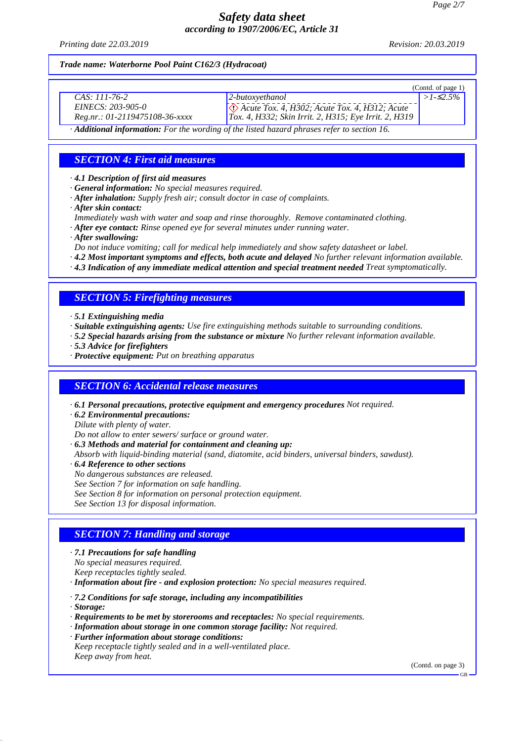*Printing date 22.03.2019 Revision: 20.03.2019*

#### *Trade name: Waterborne Pool Paint C162/3 (Hydracoat)*

|                                |                                                                | (Contd. of page $1$ ) |
|--------------------------------|----------------------------------------------------------------|-----------------------|
| CAS: 111-76-2                  | $ 2$ -butoxyethanol                                            | $>1 - 2.5\%$          |
| EINECS: 203-905-0              | $\Diamond$ Acute Tox. 4, H302; Acute Tox. 4, H312; Acute       |                       |
| Reg.nr.: 01-2119475108-36-xxxx | $\hat{Tox}$ . 4, H332; Skin Irrit. 2, H315; Eye Irrit. 2, H319 |                       |
| - - -                          |                                                                |                       |

*· Additional information: For the wording of the listed hazard phrases refer to section 16.*

## *SECTION 4: First aid measures*

*· 4.1 Description of first aid measures*

- *· General information: No special measures required.*
- *· After inhalation: Supply fresh air; consult doctor in case of complaints.*
- *· After skin contact:*
- *Immediately wash with water and soap and rinse thoroughly. Remove contaminated clothing.*
- *· After eye contact: Rinse opened eye for several minutes under running water.*
- *· After swallowing:*
- *Do not induce vomiting; call for medical help immediately and show safety datasheet or label.*
- *· 4.2 Most important symptoms and effects, both acute and delayed No further relevant information available.*

*· 4.3 Indication of any immediate medical attention and special treatment needed Treat symptomatically.*

## *SECTION 5: Firefighting measures*

- *· 5.1 Extinguishing media*
- *· Suitable extinguishing agents: Use fire extinguishing methods suitable to surrounding conditions.*
- *· 5.2 Special hazards arising from the substance or mixture No further relevant information available.*
- *· 5.3 Advice for firefighters*
- *· Protective equipment: Put on breathing apparatus*

### *SECTION 6: Accidental release measures*

- *· 6.1 Personal precautions, protective equipment and emergency procedures Not required.*
- *· 6.2 Environmental precautions:*
- *Dilute with plenty of water.*
- *Do not allow to enter sewers/ surface or ground water.*
- *· 6.3 Methods and material for containment and cleaning up:*
- *Absorb with liquid-binding material (sand, diatomite, acid binders, universal binders, sawdust).*
- *· 6.4 Reference to other sections No dangerous substances are released.*
	- *See Section 7 for information on safe handling.*
	- *See Section 8 for information on personal protection equipment.*
	- *See Section 13 for disposal information.*

# *SECTION 7: Handling and storage*

- *· 7.1 Precautions for safe handling No special measures required.*
- *Keep receptacles tightly sealed.*

*· Information about fire - and explosion protection: No special measures required.*

- *· 7.2 Conditions for safe storage, including any incompatibilities*
- *· Storage:*
- *· Requirements to be met by storerooms and receptacles: No special requirements.*
- *· Information about storage in one common storage facility: Not required.*
- *· Further information about storage conditions: Keep receptacle tightly sealed and in a well-ventilated place. Keep away from heat.*

(Contd. on page 3)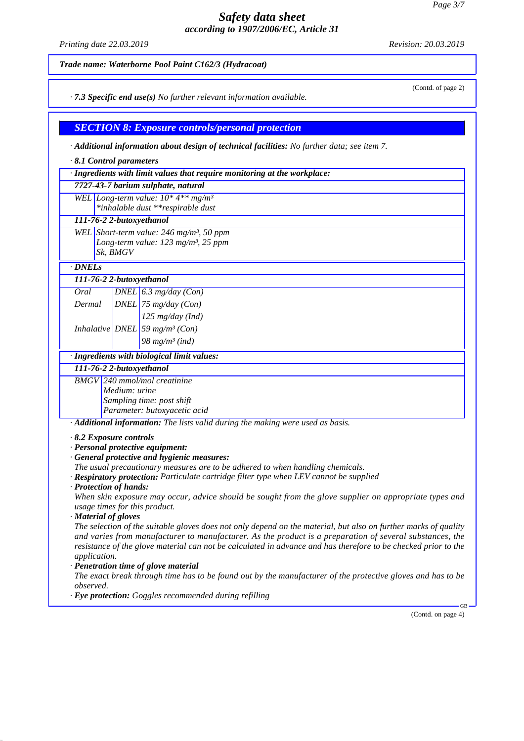*Printing date 22.03.2019 Revision: 20.03.2019*

(Contd. of page 2)

*Trade name: Waterborne Pool Paint C162/3 (Hydracoat)*

*· 7.3 Specific end use(s) No further relevant information available.*

*SECTION 8: Exposure controls/personal protection*

*· Additional information about design of technical facilities: No further data; see item 7.*

|  |  |  | $\cdot$ 8.1 Control parameters |
|--|--|--|--------------------------------|
|--|--|--|--------------------------------|

|  |  |  |  | · Ingredients with limit values that require monitoring at the workplace: |
|--|--|--|--|---------------------------------------------------------------------------|
|  |  |  |  |                                                                           |

*7727-43-7 barium sulphate, natural*

*WEL Long-term value: 10\* 4\*\* mg/m³ \*inhalable dust \*\*respirable dust*

#### *111-76-2 2-butoxyethanol*

*WEL Short-term value: 246 mg/m³, 50 ppm Long-term value: 123 mg/m³, 25 ppm Sk, BMGV*

*· DNELs*

*111-76-2 2-butoxyethanol*

|  | 98 mg/m <sup>3</sup> (ind) |  |  |  |
|--|----------------------------|--|--|--|

*· Ingredients with biological limit values:*

*111-76-2 2-butoxyethanol BMGV 240 mmol/mol creatinine Medium: urine Sampling time: post shift Parameter: butoxyacetic acid*

*· Additional information: The lists valid during the making were used as basis.*

*· 8.2 Exposure controls*

*· Personal protective equipment:*

*· General protective and hygienic measures:*

*The usual precautionary measures are to be adhered to when handling chemicals.*

*· Respiratory protection: Particulate cartridge filter type when LEV cannot be supplied*

*· Protection of hands:*

*When skin exposure may occur, advice should be sought from the glove supplier on appropriate types and usage times for this product.*

*· Material of gloves*

*The selection of the suitable gloves does not only depend on the material, but also on further marks of quality and varies from manufacturer to manufacturer. As the product is a preparation of several substances, the resistance of the glove material can not be calculated in advance and has therefore to be checked prior to the application.*

*· Penetration time of glove material*

*The exact break through time has to be found out by the manufacturer of the protective gloves and has to be observed.*

*· Eye protection: Goggles recommended during refilling*

(Contd. on page 4)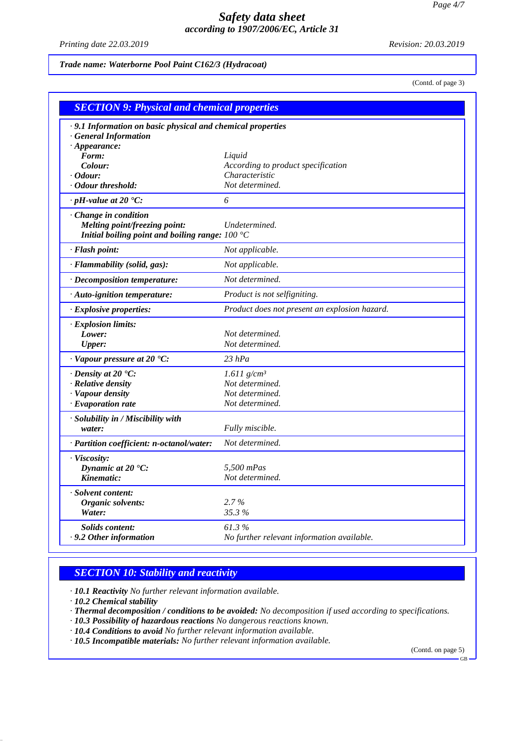*Printing date 22.03.2019 Revision: 20.03.2019*

*Trade name: Waterborne Pool Paint C162/3 (Hydracoat)*

(Contd. of page 3)

| .9.1 Information on basic physical and chemical properties             |                                               |
|------------------------------------------------------------------------|-----------------------------------------------|
| <b>General Information</b>                                             |                                               |
| $\cdot$ Appearance:                                                    |                                               |
| Form:                                                                  | Liquid                                        |
| Colour:                                                                | According to product specification            |
| <i>Cdour:</i>                                                          | Characteristic                                |
| · Odour threshold:                                                     | Not determined.                               |
| $\cdot$ pH-value at 20 $\textdegree$ C:                                | 6                                             |
| Change in condition                                                    |                                               |
| <b>Melting point/freezing point:</b>                                   | Undetermined.                                 |
| Initial boiling point and boiling range: $100\text{ }^{\circ}\text{C}$ |                                               |
| · Flash point:                                                         | Not applicable.                               |
| · Flammability (solid, gas):                                           | Not applicable.                               |
| · Decomposition temperature:                                           | Not determined.                               |
| · Auto-ignition temperature:                                           | Product is not selfigniting.                  |
| · Explosive properties:                                                | Product does not present an explosion hazard. |
| · Explosion limits:                                                    |                                               |
| Lower:                                                                 | Not determined.                               |
| <b>Upper:</b>                                                          | Not determined.                               |
| $\cdot$ Vapour pressure at 20 $\cdot$ C:                               | $23$ hPa                                      |
| $\cdot$ Density at 20 $\cdot$ C:                                       | $1.611$ g/cm <sup>3</sup>                     |
| · Relative density                                                     | Not determined.                               |
| · Vapour density                                                       | Not determined.                               |
| · Evaporation rate                                                     | Not determined.                               |
| · Solubility in / Miscibility with                                     |                                               |
| water:                                                                 | Fully miscible.                               |
| · Partition coefficient: n-octanol/water:                              | Not determined.                               |
| · Viscosity:                                                           |                                               |
| Dynamic at 20 °C:                                                      | 5.500 mPas                                    |
| Kinematic:                                                             | Not determined.                               |
| · Solvent content:                                                     |                                               |
| Organic solvents:                                                      | $2.7\%$                                       |
| Water:                                                                 | 35.3%                                         |
| <b>Solids content:</b>                                                 | 61.3%                                         |
| $\cdot$ 9.2 Other information                                          | No further relevant information available.    |

## *SECTION 10: Stability and reactivity*

*· 10.1 Reactivity No further relevant information available.*

*· 10.2 Chemical stability*

- *· Thermal decomposition / conditions to be avoided: No decomposition if used according to specifications.*
- *· 10.3 Possibility of hazardous reactions No dangerous reactions known.*
- *· 10.4 Conditions to avoid No further relevant information available.*
- *· 10.5 Incompatible materials: No further relevant information available.*

(Contd. on page 5) GB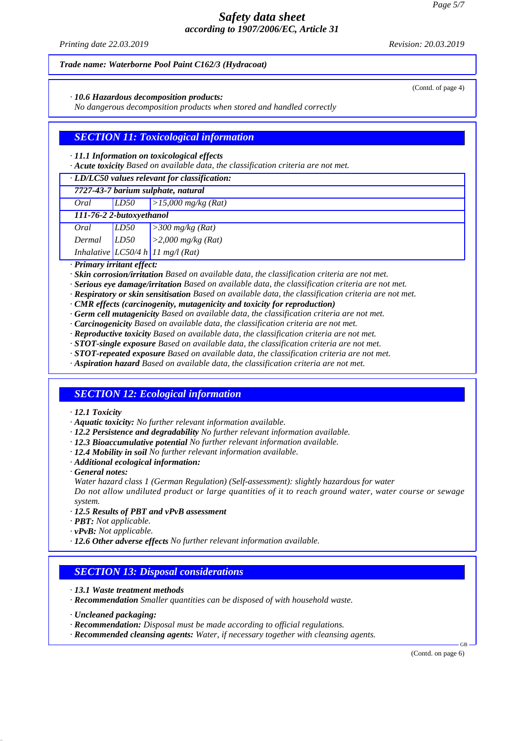*Printing date 22.03.2019 Revision: 20.03.2019*

(Contd. of page 4)

#### *Trade name: Waterborne Pool Paint C162/3 (Hydracoat)*

*· 10.6 Hazardous decomposition products:*

*No dangerous decomposition products when stored and handled correctly*

## *SECTION 11: Toxicological information*

#### *· 11.1 Information on toxicological effects*

*· Acute toxicity Based on available data, the classification criteria are not met.*

| LD50<br>Oral | >15,000 mg/kg (Rat) |
|--------------|---------------------|
|--------------|---------------------|

| 111-76-2 2-butoxyethanol |  |
|--------------------------|--|
|                          |  |

| Oral   | LD50 | $\geq$ 300 mg/kg (Rat) |
|--------|------|------------------------|
| Dermal | LD50 | > 2,000 mg/kg (Rat)    |

*Inhalative LC50/4 h 11 mg/l (Rat)*

*· Primary irritant effect:*

- *· Skin corrosion/irritation Based on available data, the classification criteria are not met.*
- *· Serious eye damage/irritation Based on available data, the classification criteria are not met.*
- *· Respiratory or skin sensitisation Based on available data, the classification criteria are not met.*
- *· CMR effects (carcinogenity, mutagenicity and toxicity for reproduction)*
- *· Germ cell mutagenicity Based on available data, the classification criteria are not met.*
- *· Carcinogenicity Based on available data, the classification criteria are not met.*
- *· Reproductive toxicity Based on available data, the classification criteria are not met.*
- *· STOT-single exposure Based on available data, the classification criteria are not met.*
- *· STOT-repeated exposure Based on available data, the classification criteria are not met.*
- *· Aspiration hazard Based on available data, the classification criteria are not met.*

### *SECTION 12: Ecological information*

#### *· 12.1 Toxicity*

- *· Aquatic toxicity: No further relevant information available.*
- *· 12.2 Persistence and degradability No further relevant information available.*
- *· 12.3 Bioaccumulative potential No further relevant information available.*
- *· 12.4 Mobility in soil No further relevant information available.*
- *· Additional ecological information:*
- *· General notes:*
- *Water hazard class 1 (German Regulation) (Self-assessment): slightly hazardous for water*

*Do not allow undiluted product or large quantities of it to reach ground water, water course or sewage system.*

- *· 12.5 Results of PBT and vPvB assessment*
- *· PBT: Not applicable.*
- *· vPvB: Not applicable.*
- *· 12.6 Other adverse effects No further relevant information available.*

### *SECTION 13: Disposal considerations*

- *· 13.1 Waste treatment methods*
- *· Recommendation Smaller quantities can be disposed of with household waste.*
- *· Uncleaned packaging:*
- *· Recommendation: Disposal must be made according to official regulations.*
- *· Recommended cleansing agents: Water, if necessary together with cleansing agents.*

(Contd. on page 6)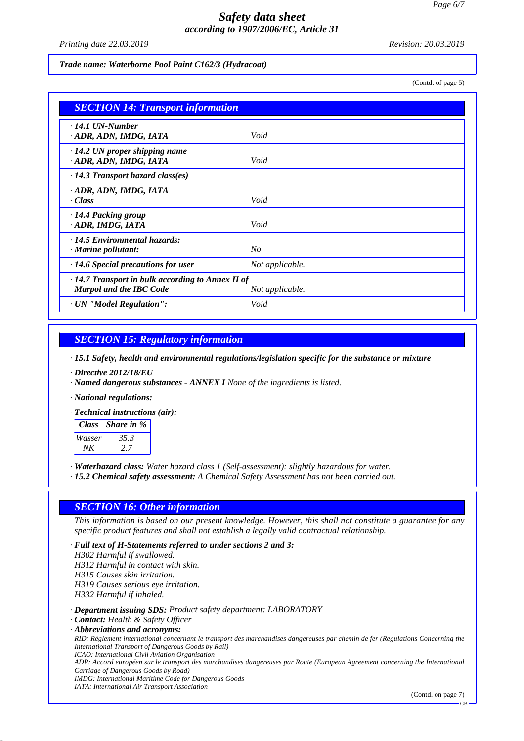*Printing date 22.03.2019 Revision: 20.03.2019*

*Trade name: Waterborne Pool Paint C162/3 (Hydracoat)*

(Contd. of page 5)

| <b>SECTION 14: Transport information</b>                                                  |                 |
|-------------------------------------------------------------------------------------------|-----------------|
| $\cdot$ 14.1 UN-Number<br>· ADR, ADN, IMDG, IATA                                          | Void            |
| $\cdot$ 14.2 UN proper shipping name<br>· ADR, ADN, IMDG, IATA                            | Void            |
| $\cdot$ 14.3 Transport hazard class(es)                                                   |                 |
| · ADR, ADN, IMDG, IATA<br>· Class                                                         | Void            |
| $\cdot$ 14.4 Packing group<br>· ADR, IMDG, IATA                                           | Void            |
| $\cdot$ 14.5 Environmental hazards:<br>$\cdot$ Marine pollutant:                          | No              |
| $\cdot$ 14.6 Special precautions for user                                                 | Not applicable. |
| $\cdot$ 14.7 Transport in bulk according to Annex II of<br><b>Marpol and the IBC Code</b> | Not applicable. |
| · UN "Model Regulation":                                                                  | Void            |

## *SECTION 15: Regulatory information*

*· 15.1 Safety, health and environmental regulations/legislation specific for the substance or mixture*

- *· Directive 2012/18/EU*
- *· Named dangerous substances ANNEX I None of the ingredients is listed.*
- *· National regulations:*

*· Technical instructions (air):*

| <b>Class</b> | Share in % |
|--------------|------------|
| Wasser       | 35.3       |
| NΚ           |            |

*· Waterhazard class: Water hazard class 1 (Self-assessment): slightly hazardous for water.*

*· 15.2 Chemical safety assessment: A Chemical Safety Assessment has not been carried out.*

### *SECTION 16: Other information*

*· Full text of H-Statements referred to under sections 2 and 3:*

*This information is based on our present knowledge. However, this shall not constitute a guarantee for any specific product features and shall not establish a legally valid contractual relationship.*

*H302 Harmful if swallowed. H312 Harmful in contact with skin. H315 Causes skin irritation. H319 Causes serious eye irritation. H332 Harmful if inhaled. · Department issuing SDS: Product safety department: LABORATORY · Contact: Health & Safety Officer · Abbreviations and acronyms: RID: Règlement international concernant le transport des marchandises dangereuses par chemin de fer (Regulations Concerning the International Transport of Dangerous Goods by Rail) ICAO: International Civil Aviation Organisation ADR: Accord européen sur le transport des marchandises dangereuses par Route (European Agreement concerning the International Carriage of Dangerous Goods by Road) IMDG: International Maritime Code for Dangerous Goods IATA: International Air Transport Association*